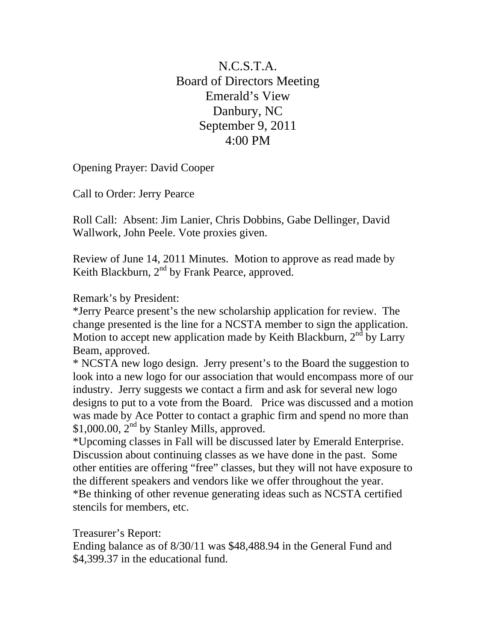N.C.S.T.A. Board of Directors Meeting Emerald's View Danbury, NC September 9, 2011 4:00 PM

Opening Prayer: David Cooper

Call to Order: Jerry Pearce

Roll Call: Absent: Jim Lanier, Chris Dobbins, Gabe Dellinger, David Wallwork, John Peele. Vote proxies given.

Review of June 14, 2011 Minutes. Motion to approve as read made by Keith Blackburn,  $2<sup>nd</sup>$  by Frank Pearce, approved.

Remark's by President:

\*Jerry Pearce present's the new scholarship application for review. The change presented is the line for a NCSTA member to sign the application. Motion to accept new application made by Keith Blackburn,  $2<sup>nd</sup>$  by Larry Beam, approved.

\* NCSTA new logo design. Jerry present's to the Board the suggestion to look into a new logo for our association that would encompass more of our industry. Jerry suggests we contact a firm and ask for several new logo designs to put to a vote from the Board. Price was discussed and a motion was made by Ace Potter to contact a graphic firm and spend no more than \$1,000.00,  $2<sup>nd</sup>$  by Stanley Mills, approved.

\*Upcoming classes in Fall will be discussed later by Emerald Enterprise. Discussion about continuing classes as we have done in the past. Some other entities are offering "free" classes, but they will not have exposure to the different speakers and vendors like we offer throughout the year. \*Be thinking of other revenue generating ideas such as NCSTA certified stencils for members, etc.

Treasurer's Report:

Ending balance as of 8/30/11 was \$48,488.94 in the General Fund and \$4,399.37 in the educational fund.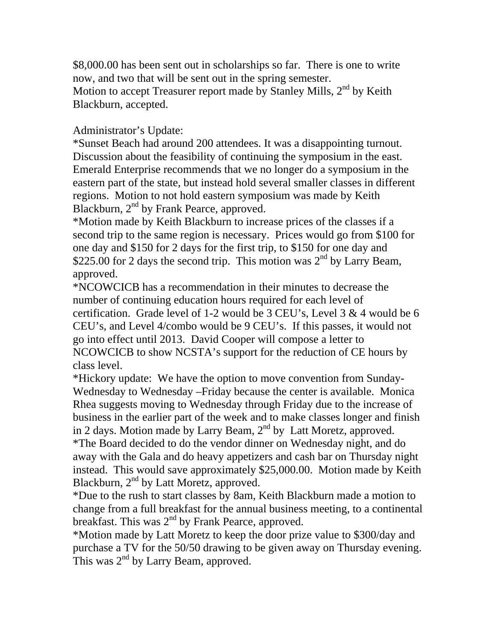\$8,000.00 has been sent out in scholarships so far. There is one to write now, and two that will be sent out in the spring semester. Motion to accept Treasurer report made by Stanley Mills,  $2<sup>nd</sup>$  by Keith Blackburn, accepted.

Administrator's Update:

\*Sunset Beach had around 200 attendees. It was a disappointing turnout. Discussion about the feasibility of continuing the symposium in the east. Emerald Enterprise recommends that we no longer do a symposium in the eastern part of the state, but instead hold several smaller classes in different regions. Motion to not hold eastern symposium was made by Keith Blackburn,  $2<sup>nd</sup>$  by Frank Pearce, approved.

\*Motion made by Keith Blackburn to increase prices of the classes if a second trip to the same region is necessary. Prices would go from \$100 for one day and \$150 for 2 days for the first trip, to \$150 for one day and \$225.00 for 2 days the second trip. This motion was  $2<sup>nd</sup>$  by Larry Beam, approved.

\*NCOWCICB has a recommendation in their minutes to decrease the number of continuing education hours required for each level of certification. Grade level of 1-2 would be 3 CEU's, Level  $3 \& 4$  would be 6 CEU's, and Level 4/combo would be 9 CEU's. If this passes, it would not go into effect until 2013. David Cooper will compose a letter to NCOWCICB to show NCSTA's support for the reduction of CE hours by class level.

\*Hickory update: We have the option to move convention from Sunday-Wednesday to Wednesday –Friday because the center is available. Monica Rhea suggests moving to Wednesday through Friday due to the increase of business in the earlier part of the week and to make classes longer and finish in 2 days. Motion made by Larry Beam, 2<sup>nd</sup> by Latt Moretz, approved. \*The Board decided to do the vendor dinner on Wednesday night, and do away with the Gala and do heavy appetizers and cash bar on Thursday night instead. This would save approximately \$25,000.00. Motion made by Keith Blackburn, 2<sup>nd</sup> by Latt Moretz, approved.

\*Due to the rush to start classes by 8am, Keith Blackburn made a motion to change from a full breakfast for the annual business meeting, to a continental breakfast. This was  $2<sup>nd</sup>$  by Frank Pearce, approved.

\*Motion made by Latt Moretz to keep the door prize value to \$300/day and purchase a TV for the 50/50 drawing to be given away on Thursday evening. This was  $2<sup>nd</sup>$  by Larry Beam, approved.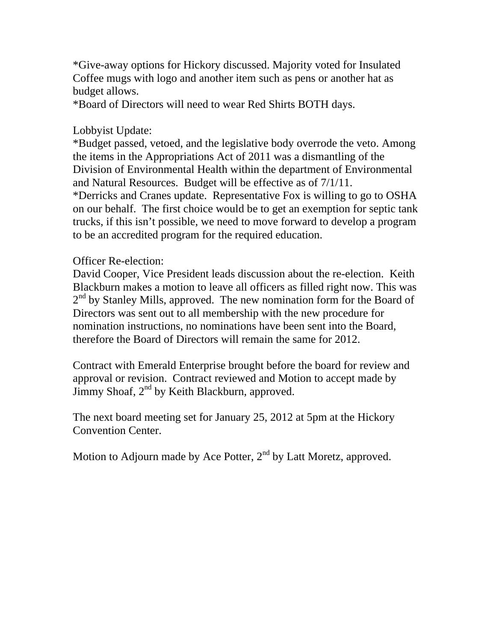\*Give-away options for Hickory discussed. Majority voted for Insulated Coffee mugs with logo and another item such as pens or another hat as budget allows.

\*Board of Directors will need to wear Red Shirts BOTH days.

## Lobbyist Update:

\*Budget passed, vetoed, and the legislative body overrode the veto. Among the items in the Appropriations Act of 2011 was a dismantling of the Division of Environmental Health within the department of Environmental and Natural Resources. Budget will be effective as of 7/1/11. \*Derricks and Cranes update. Representative Fox is willing to go to OSHA

on our behalf. The first choice would be to get an exemption for septic tank trucks, if this isn't possible, we need to move forward to develop a program to be an accredited program for the required education.

## Officer Re-election:

David Cooper, Vice President leads discussion about the re-election. Keith Blackburn makes a motion to leave all officers as filled right now. This was  $2<sup>nd</sup>$  by Stanley Mills, approved. The new nomination form for the Board of Directors was sent out to all membership with the new procedure for nomination instructions, no nominations have been sent into the Board, therefore the Board of Directors will remain the same for 2012.

Contract with Emerald Enterprise brought before the board for review and approval or revision. Contract reviewed and Motion to accept made by Jimmy Shoaf,  $2<sup>nd</sup>$  by Keith Blackburn, approved.

The next board meeting set for January 25, 2012 at 5pm at the Hickory Convention Center.

Motion to Adjourn made by Ace Potter,  $2<sup>nd</sup>$  by Latt Moretz, approved.